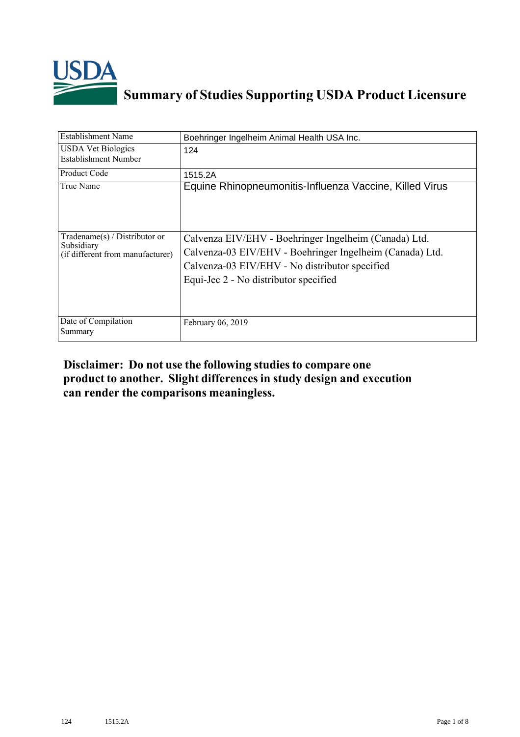

## **Summary of Studies Supporting USDA Product Licensure**

| <b>Establishment Name</b>                                                       | Boehringer Ingelheim Animal Health USA Inc.                                                                                                                                                                  |
|---------------------------------------------------------------------------------|--------------------------------------------------------------------------------------------------------------------------------------------------------------------------------------------------------------|
| <b>USDA Vet Biologics</b><br>Establishment Number                               | 124                                                                                                                                                                                                          |
| <b>Product Code</b>                                                             | 1515.2A                                                                                                                                                                                                      |
| True Name                                                                       | Equine Rhinopneumonitis-Influenza Vaccine, Killed Virus                                                                                                                                                      |
| Tradename(s) / Distributor or<br>Subsidiary<br>(if different from manufacturer) | Calvenza EIV/EHV - Boehringer Ingelheim (Canada) Ltd.<br>Calvenza-03 EIV/EHV - Boehringer Ingelheim (Canada) Ltd.<br>Calvenza-03 EIV/EHV - No distributor specified<br>Equi-Jec 2 - No distributor specified |
| Date of Compilation<br>Summary                                                  | February 06, 2019                                                                                                                                                                                            |

## **Disclaimer: Do not use the following studiesto compare one product to another. Slight differencesin study design and execution can render the comparisons meaningless.**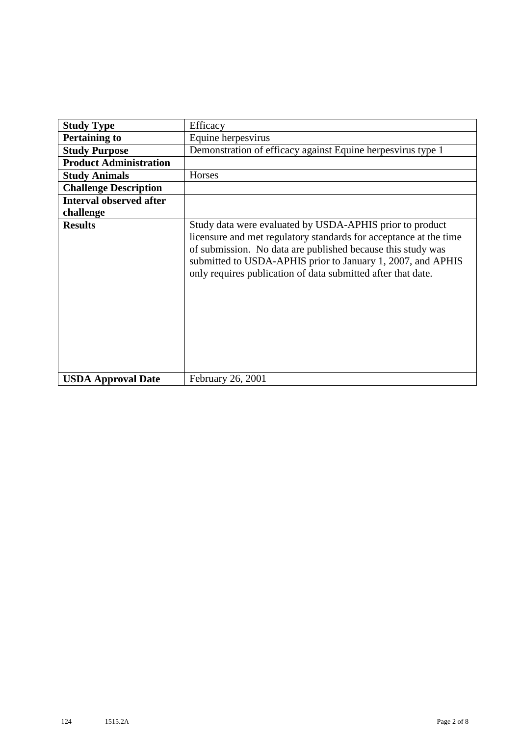| <b>Study Type</b>              | Efficacy                                                                                                                                                                                                                                                                                                                    |
|--------------------------------|-----------------------------------------------------------------------------------------------------------------------------------------------------------------------------------------------------------------------------------------------------------------------------------------------------------------------------|
| <b>Pertaining to</b>           | Equine herpesvirus                                                                                                                                                                                                                                                                                                          |
| <b>Study Purpose</b>           | Demonstration of efficacy against Equine herpesvirus type 1                                                                                                                                                                                                                                                                 |
| <b>Product Administration</b>  |                                                                                                                                                                                                                                                                                                                             |
| <b>Study Animals</b>           | Horses                                                                                                                                                                                                                                                                                                                      |
| <b>Challenge Description</b>   |                                                                                                                                                                                                                                                                                                                             |
| <b>Interval observed after</b> |                                                                                                                                                                                                                                                                                                                             |
| challenge                      |                                                                                                                                                                                                                                                                                                                             |
| <b>Results</b>                 | Study data were evaluated by USDA-APHIS prior to product<br>licensure and met regulatory standards for acceptance at the time<br>of submission. No data are published because this study was<br>submitted to USDA-APHIS prior to January 1, 2007, and APHIS<br>only requires publication of data submitted after that date. |
| <b>USDA Approval Date</b>      | February 26, 2001                                                                                                                                                                                                                                                                                                           |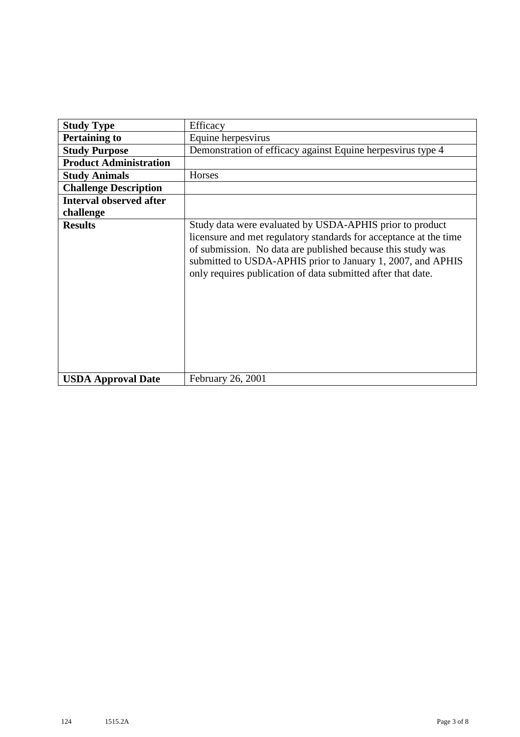| <b>Study Type</b>              | Efficacy                                                                                                                                                                                                                                                                                                                    |
|--------------------------------|-----------------------------------------------------------------------------------------------------------------------------------------------------------------------------------------------------------------------------------------------------------------------------------------------------------------------------|
| <b>Pertaining to</b>           | Equine herpesvirus                                                                                                                                                                                                                                                                                                          |
| <b>Study Purpose</b>           | Demonstration of efficacy against Equine herpesvirus type 4                                                                                                                                                                                                                                                                 |
| <b>Product Administration</b>  |                                                                                                                                                                                                                                                                                                                             |
| <b>Study Animals</b>           | Horses                                                                                                                                                                                                                                                                                                                      |
| <b>Challenge Description</b>   |                                                                                                                                                                                                                                                                                                                             |
| <b>Interval observed after</b> |                                                                                                                                                                                                                                                                                                                             |
| challenge                      |                                                                                                                                                                                                                                                                                                                             |
| <b>Results</b>                 | Study data were evaluated by USDA-APHIS prior to product<br>licensure and met regulatory standards for acceptance at the time<br>of submission. No data are published because this study was<br>submitted to USDA-APHIS prior to January 1, 2007, and APHIS<br>only requires publication of data submitted after that date. |
| <b>USDA Approval Date</b>      | February 26, 2001                                                                                                                                                                                                                                                                                                           |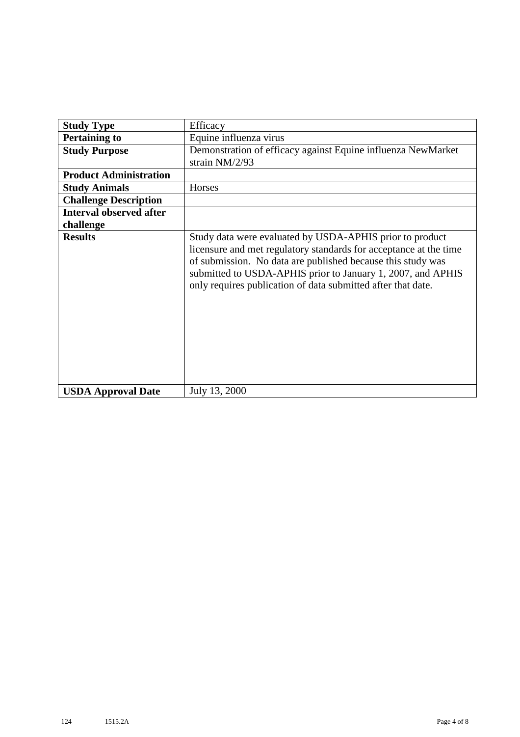| <b>Study Type</b>              | Efficacy                                                                                                                                                                                                                                                                                                                    |
|--------------------------------|-----------------------------------------------------------------------------------------------------------------------------------------------------------------------------------------------------------------------------------------------------------------------------------------------------------------------------|
| <b>Pertaining to</b>           | Equine influenza virus                                                                                                                                                                                                                                                                                                      |
| <b>Study Purpose</b>           | Demonstration of efficacy against Equine influenza NewMarket<br>strain NM/2/93                                                                                                                                                                                                                                              |
| <b>Product Administration</b>  |                                                                                                                                                                                                                                                                                                                             |
| <b>Study Animals</b>           | Horses                                                                                                                                                                                                                                                                                                                      |
| <b>Challenge Description</b>   |                                                                                                                                                                                                                                                                                                                             |
| <b>Interval observed after</b> |                                                                                                                                                                                                                                                                                                                             |
| challenge                      |                                                                                                                                                                                                                                                                                                                             |
| <b>Results</b>                 | Study data were evaluated by USDA-APHIS prior to product<br>licensure and met regulatory standards for acceptance at the time<br>of submission. No data are published because this study was<br>submitted to USDA-APHIS prior to January 1, 2007, and APHIS<br>only requires publication of data submitted after that date. |
| <b>USDA Approval Date</b>      | July 13, 2000                                                                                                                                                                                                                                                                                                               |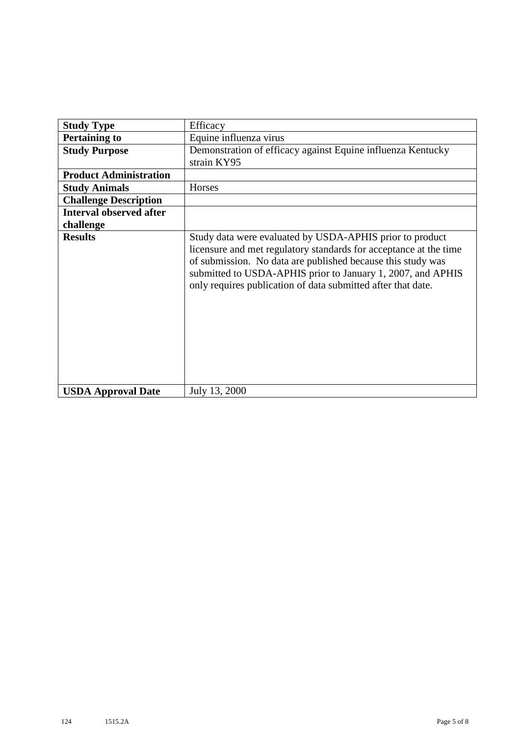| <b>Study Type</b>              | Efficacy                                                                                                                                                                                                                                                                                                                    |
|--------------------------------|-----------------------------------------------------------------------------------------------------------------------------------------------------------------------------------------------------------------------------------------------------------------------------------------------------------------------------|
| <b>Pertaining to</b>           | Equine influenza virus                                                                                                                                                                                                                                                                                                      |
| <b>Study Purpose</b>           | Demonstration of efficacy against Equine influenza Kentucky<br>strain KY95                                                                                                                                                                                                                                                  |
| <b>Product Administration</b>  |                                                                                                                                                                                                                                                                                                                             |
| <b>Study Animals</b>           | Horses                                                                                                                                                                                                                                                                                                                      |
| <b>Challenge Description</b>   |                                                                                                                                                                                                                                                                                                                             |
| <b>Interval observed after</b> |                                                                                                                                                                                                                                                                                                                             |
| challenge                      |                                                                                                                                                                                                                                                                                                                             |
| <b>Results</b>                 | Study data were evaluated by USDA-APHIS prior to product<br>licensure and met regulatory standards for acceptance at the time<br>of submission. No data are published because this study was<br>submitted to USDA-APHIS prior to January 1, 2007, and APHIS<br>only requires publication of data submitted after that date. |
| <b>USDA Approval Date</b>      | July 13, 2000                                                                                                                                                                                                                                                                                                               |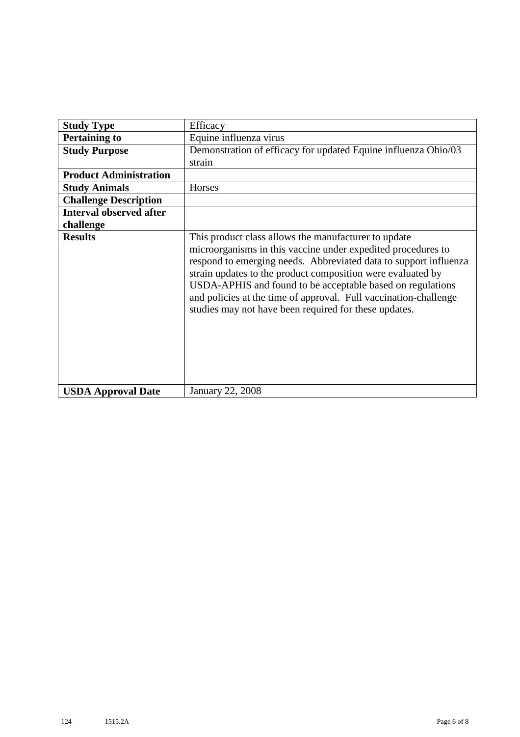| <b>Study Type</b>              | Efficacy                                                                                                                                                                                                                                                                                                                                                                                                                                           |
|--------------------------------|----------------------------------------------------------------------------------------------------------------------------------------------------------------------------------------------------------------------------------------------------------------------------------------------------------------------------------------------------------------------------------------------------------------------------------------------------|
| <b>Pertaining to</b>           | Equine influenza virus                                                                                                                                                                                                                                                                                                                                                                                                                             |
| <b>Study Purpose</b>           | Demonstration of efficacy for updated Equine influenza Ohio/03                                                                                                                                                                                                                                                                                                                                                                                     |
|                                | strain                                                                                                                                                                                                                                                                                                                                                                                                                                             |
| <b>Product Administration</b>  |                                                                                                                                                                                                                                                                                                                                                                                                                                                    |
| <b>Study Animals</b>           | Horses                                                                                                                                                                                                                                                                                                                                                                                                                                             |
| <b>Challenge Description</b>   |                                                                                                                                                                                                                                                                                                                                                                                                                                                    |
| <b>Interval observed after</b> |                                                                                                                                                                                                                                                                                                                                                                                                                                                    |
| challenge                      |                                                                                                                                                                                                                                                                                                                                                                                                                                                    |
| <b>Results</b>                 | This product class allows the manufacturer to update<br>microorganisms in this vaccine under expedited procedures to<br>respond to emerging needs. Abbreviated data to support influenza<br>strain updates to the product composition were evaluated by<br>USDA-APHIS and found to be acceptable based on regulations<br>and policies at the time of approval. Full vaccination-challenge<br>studies may not have been required for these updates. |
| <b>USDA Approval Date</b>      | <b>January 22, 2008</b>                                                                                                                                                                                                                                                                                                                                                                                                                            |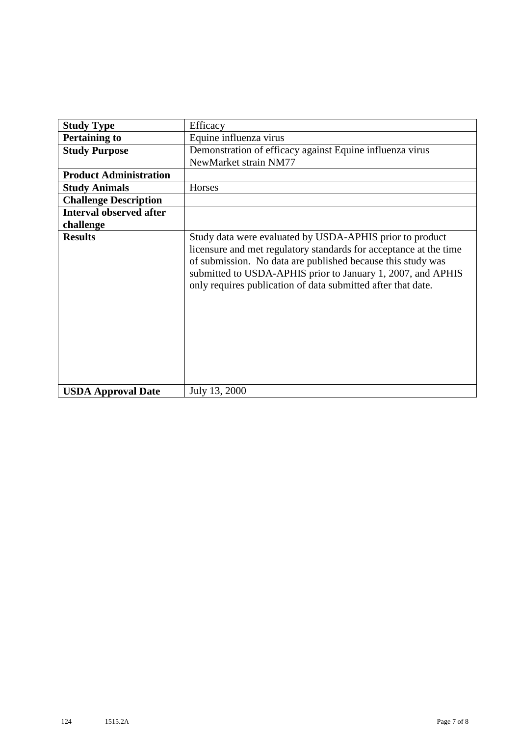| <b>Study Type</b>              | Efficacy                                                                                                                                                                                                                                                                                                                    |
|--------------------------------|-----------------------------------------------------------------------------------------------------------------------------------------------------------------------------------------------------------------------------------------------------------------------------------------------------------------------------|
| <b>Pertaining to</b>           | Equine influenza virus                                                                                                                                                                                                                                                                                                      |
| <b>Study Purpose</b>           | Demonstration of efficacy against Equine influenza virus                                                                                                                                                                                                                                                                    |
|                                | NewMarket strain NM77                                                                                                                                                                                                                                                                                                       |
| <b>Product Administration</b>  |                                                                                                                                                                                                                                                                                                                             |
| <b>Study Animals</b>           | Horses                                                                                                                                                                                                                                                                                                                      |
| <b>Challenge Description</b>   |                                                                                                                                                                                                                                                                                                                             |
| <b>Interval observed after</b> |                                                                                                                                                                                                                                                                                                                             |
| challenge                      |                                                                                                                                                                                                                                                                                                                             |
| <b>Results</b>                 | Study data were evaluated by USDA-APHIS prior to product<br>licensure and met regulatory standards for acceptance at the time<br>of submission. No data are published because this study was<br>submitted to USDA-APHIS prior to January 1, 2007, and APHIS<br>only requires publication of data submitted after that date. |
| <b>USDA Approval Date</b>      | July 13, 2000                                                                                                                                                                                                                                                                                                               |